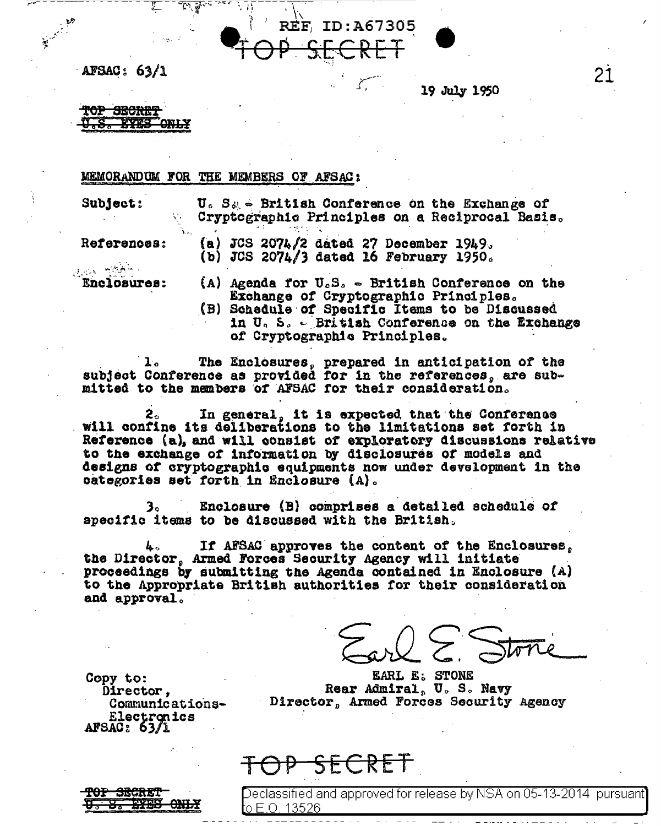

AFSAC: 63/1

19 July 1950

<del>TOP SECRET</del> **EYES ONLY** 

## MEMORANDUM FOR THE MEMBERS OF AFSAC:

Subject:

 $\mathbf{U}_c$  S<sub>ob</sub>  $\in$  British Conference on the Exchange of Cryptographic Principles on a Reciprocal Basis.

References:

(a) JCS 2074/2 dated 27 December 1949. (b) JCS 2074/3 dated 16 February 1950.

التأخيل مرابع Enclosures:

- (A) Agenda for  $U_cS_c = British$  Conference on the Exchange of Cryptographic Principles.<br>(B) Schedule of Specific Items to be Discussed
- in U.S. British Conference on the Exchange of Cryptographic Principles.

1. The Enclosures, prepared in anticipation of the subject Conference as provided for in the references, are submitted to the members of AFSAC for their consideration.

In general, it is expected that the Conference will confine its deliberations to the limitations set forth in Reference (a), and will consist of exploratory discussions relative to the exchange of information by disclosures of models and designs of cryptographic equipments now under development in the categories set forth in Enclosure (A).

Enclosure (B) comprises a detailed schedule of з. apecific items to be discussed with the British.

If AFSAC approves the content of the Enclosures. the Director, Armed Forces Security Agency will initiate proceedings by submitting the Agenda contained in Enclosure (A) to the Appropriate British authorities for their consideration and approval.

 $\bigcup$ 

**EARL E: STONE** Rear Admiral, U.S. Navy Director, Armed Forces Security Agency

Copy to: Director. Communications-Electronics  $AFSAC: 63/L$ 



<del>SECRET</del>

Declassified and approved for release by NSA on 05-13-2014 pursuant] **t**o E.O. 13526

21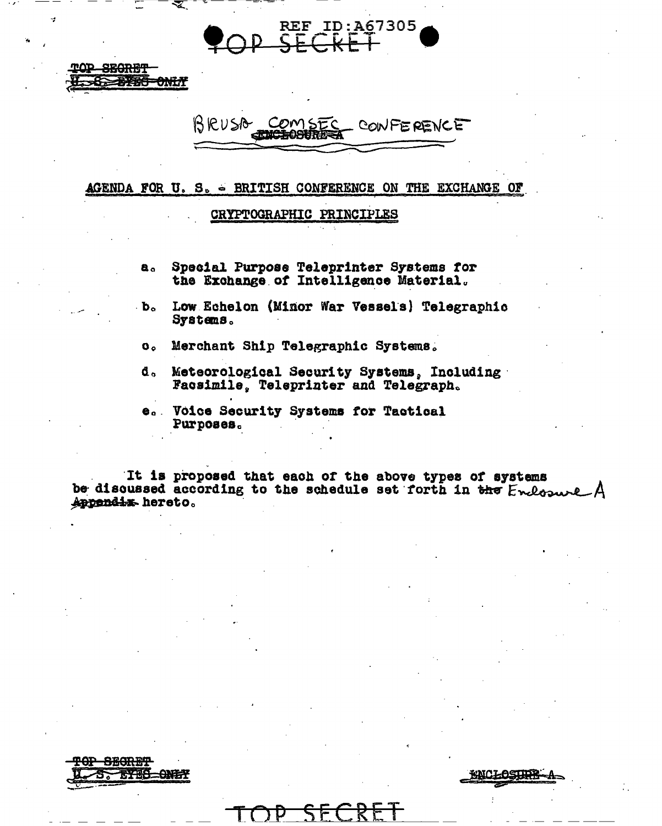**REF ID:A67305** 

BRUSA COMSEC - CONFERENCE

#### AGENDA FOR U. S. - BRITISH CONFERENCE ON THE EXCHANGE OF

### CRYPTOGRAPHIC PRINCIPLES

- Special Purpose Teleprinter Systems for  $a<sub>o</sub>$ the Exchange of Intelligence Material.
- $\cdot b_{\circ}$ Low Echelon (Minor War Vessels) Telegraphic Systems.
	- $\mathbf{O}$   $\alpha$ Merchant Ship Telegraphic Systems.
- Meteorological Security Systems, Including d. Facsimile, Teleprinter and Telegraph.
- Voice Security Systems for Tactical  $\bullet$ . Purposes.

It is proposed that each of the above types of systems<br>be discussed according to the schedule set forth in the Endosure A Appendix hereto.



<del>SEGRET</del> 本文研究

**ONLY** 

KNCLOSIIDR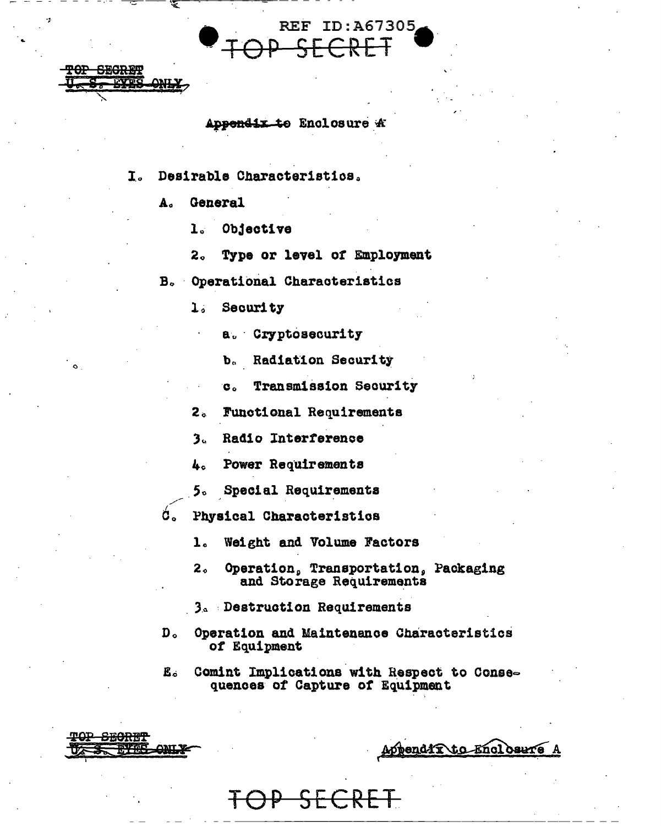

REF TD: 467305

- Desirable Characteristics. I.
	- $\mathbf{A}$ . General

ጥAP

πΩD

**SEORET** 

**ONL.** 

**SECRET LYDO** 

**ONL)** 

- $\mathbf{1}$ Objective
- $2<sub>o</sub>$ Type or level of Employment
- Operational Characteristics  $B_{\alpha}$ 
	- Security  $\mathbf{1}$ 
		- a. Cryptosecurity
		- b. Radiation Security
		- Transmission Security e.
	- $2<sub>a</sub>$ Functional Requirements
	- Radio Interference  $3<sub>1</sub>$
	- Power Requirements  $\mathbf{L}$
	- $5<sub>n</sub>$ Special Requirements
- ά, Physical Characteristics
	- $\mathbf{1}$ Weight and Volume Factors
	- $2<sub>o</sub>$ Operation, Transportation, Packaging and Storage Requirements
	- 3. Destruction Requirements
- $D<sub>o</sub>$ Operation and Maintenance Characteristics of Equipment
- Comint Implications with Respect to Conse-Е. quences of Capture of Equipment

Appendix to Enclosure A

 $\bf{k}$ t $\bf$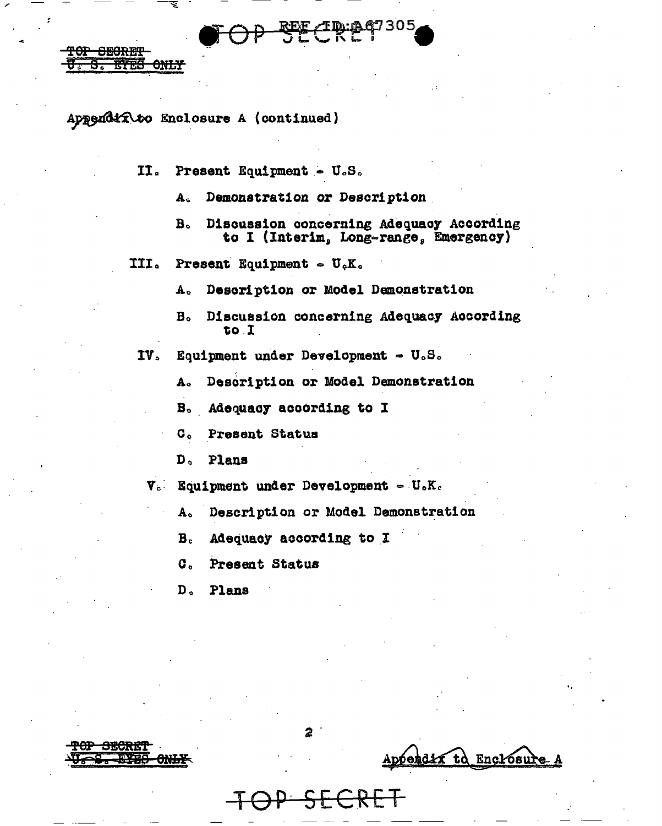# Appendix to Enclosure A (continued)

TOP SEORET

rv<del>es</del>

<del>only</del>

Present Equipment - U.S.  $II<sub>o</sub>$ 

> Demonstration or Description  $A<sub>c</sub>$

Discussion concerning Adequacy According  $B<sub>o</sub>$ to I (Interim, Long-range, Emergency)

III. **Present Equipment -**  $U_cK_c$ 

> Description or Model Demonstration  $\mathbf{A}_c$

Discussion concerning Adequacy According  $B<sub>o</sub>$ to I

 $IV<sub>2</sub>$ Equipment under Development  $\sim U_oS_o$ 

> Description or Model Demonstration  $A<sub>o</sub>$

Adequacy according to I  $B<sub>o</sub>$ 

 $C<sub>o</sub>$ Present Status

 $D<sub>0</sub>$ Plans

 $V_c$  Equipment under Development =  $U_cK_c$ 

Description or Model Demonstration  $A<sub>0</sub>$ 

Adequacy according to I  $B<sub>c</sub>$ 

 $\mathbf{C}_{\bullet}$ Present Status

 $D<sub>a</sub>$ Plans

bendix td Encrosure

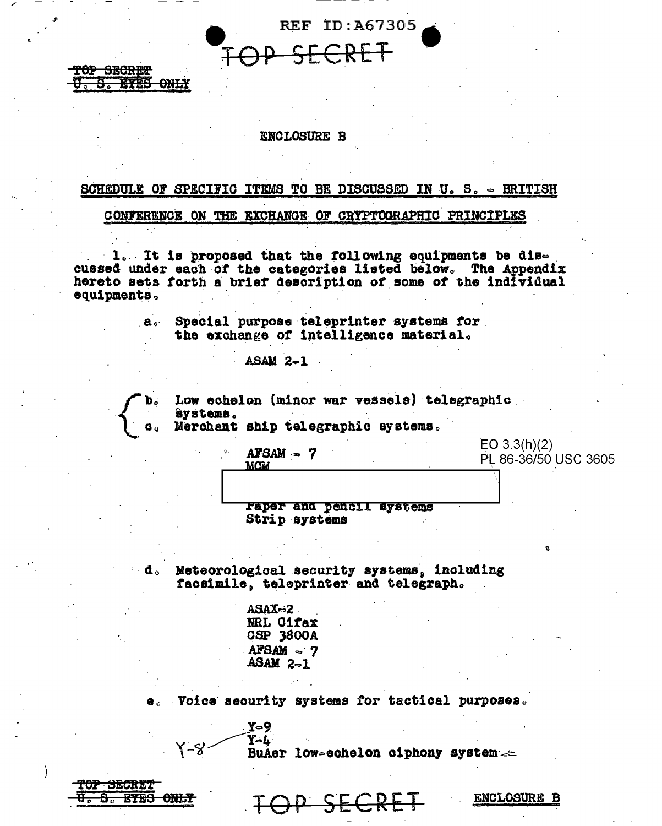

#### **ENCLOSURE B**

**TOP SECRET** 

<del>eyes only</del>

# SCHEDULE OF SPECIFIC ITEMS TO BE DISCUSSED IN U. S. - BRITISH

CONFERENCE ON THE EXCHANGE OF CRYPTOGRAPHIC PRINCIPLES

1. It is proposed that the following equipments be discussed under each of the categories listed below. The Appendix hereto sets forth a brief description of some of the individual equipments.

> Special purpose teleprinter systems for  $\mathbf{a}$  . the exchange of intelligence material.

> > $ASAM$   $2-1$

 $AFSAM - 7$ 

**MCM** 

Low echelon (minor war vessels) telegraphic systems.

Merchant ship telegraphic systems.

 $EO 3.3(h)(2)$ PL 86-36/50 USC 3605

raper and pencil systems Strip systems

Meteorological security systems, including facsimile, teleprinter and telegraph.

> ASAX=2 NRL Cifax **CSP 3800A**  $AFSAM$  ~ 7  $ASAM$   $2-1$

 $y - 9$ 

Voice security systems for tactical purposes.

 $Y - L$ BuAer low-echelon ciphony system  $\leftharpoonup$ 

| <b>MAD UP 45-55-1</b><br>IUI DECRET                |  |               |            |  |  |
|----------------------------------------------------|--|---------------|------------|--|--|
| <b>DEFENCE CAST TRU</b><br><u>al Me ritro Anni</u> |  |               | TOD CEODET |  |  |
| $\overline{\phantom{a}}$                           |  | $\tau$ $\tau$ | コロヘルピ      |  |  |

४-४

**ENCLOSURE B**